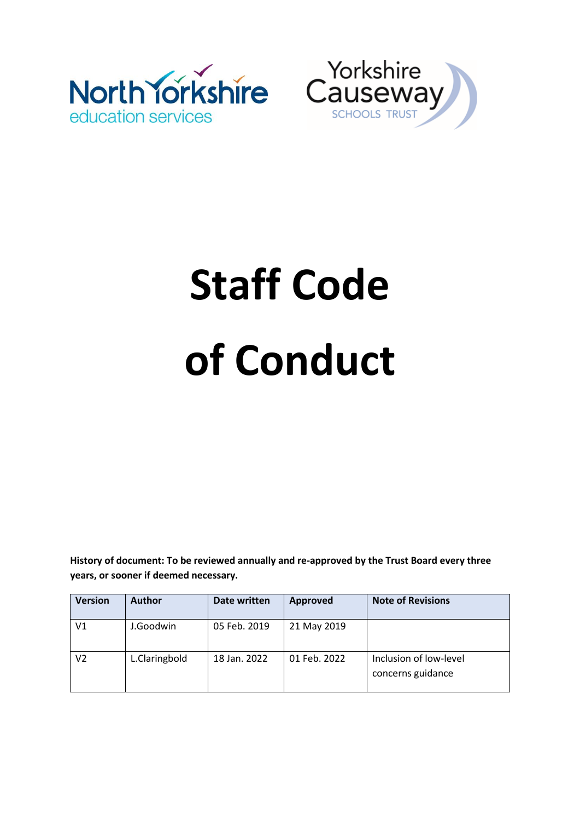



# **Staff Code of Conduct**

**History of document: To be reviewed annually and re-approved by the Trust Board every three years, or sooner if deemed necessary.**

| <b>Version</b> | <b>Author</b> | Date written | Approved     | <b>Note of Revisions</b>                    |
|----------------|---------------|--------------|--------------|---------------------------------------------|
| V1             | J.Goodwin     | 05 Feb. 2019 | 21 May 2019  |                                             |
| V2             | L.Claringbold | 18 Jan. 2022 | 01 Feb. 2022 | Inclusion of low-level<br>concerns guidance |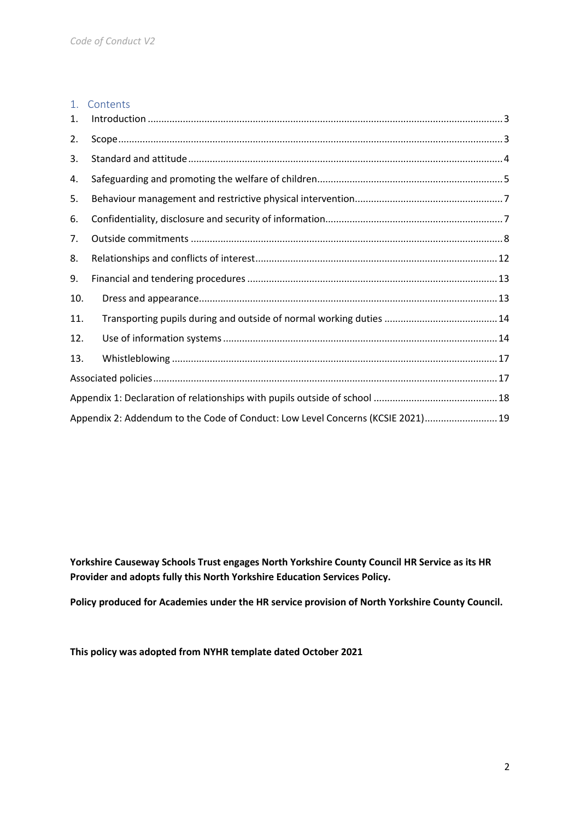# 1. Contents 1. Introduction [....................................................................................................................................3](#page-2-0) 2. [Scope...............................................................................................................................................3](#page-2-1) 3. [Standard and attitude.....................................................................................................................4](#page-3-0)

| 4.  |                                                                                 |  |
|-----|---------------------------------------------------------------------------------|--|
| 5.  |                                                                                 |  |
| 6.  |                                                                                 |  |
| 7.  |                                                                                 |  |
| 8.  |                                                                                 |  |
| 9.  |                                                                                 |  |
| 10. |                                                                                 |  |
| 11. |                                                                                 |  |
| 12. |                                                                                 |  |
| 13. |                                                                                 |  |
|     |                                                                                 |  |
|     |                                                                                 |  |
|     | Appendix 2: Addendum to the Code of Conduct: Low Level Concerns (KCSIE 2021) 19 |  |

**Yorkshire Causeway Schools Trust engages North Yorkshire County Council HR Service as its HR Provider and adopts fully this North Yorkshire Education Services Policy.** 

**Policy produced for Academies under the HR service provision of North Yorkshire County Council.**

**This policy was adopted from NYHR template dated October 2021**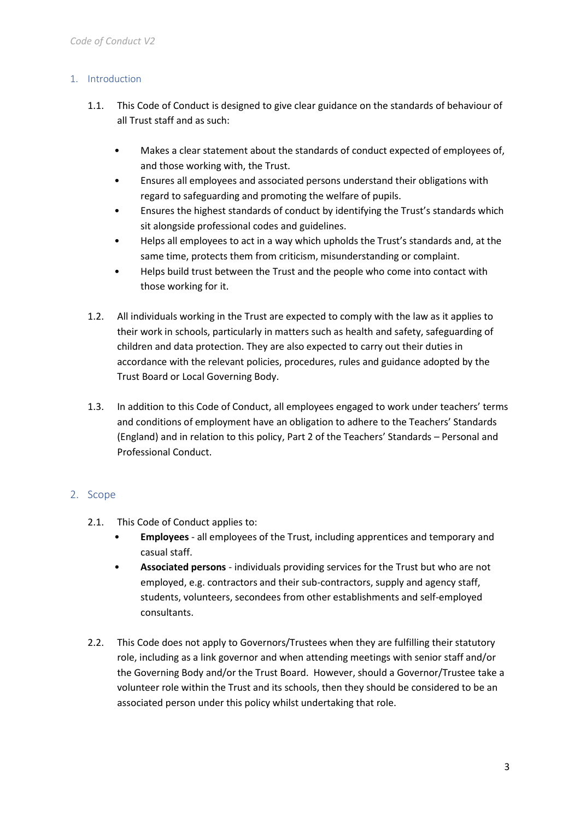## <span id="page-2-0"></span>1. Introduction

- 1.1. This Code of Conduct is designed to give clear guidance on the standards of behaviour of all Trust staff and as such:
	- Makes a clear statement about the standards of conduct expected of employees of, and those working with, the Trust.
	- Ensures all employees and associated persons understand their obligations with regard to safeguarding and promoting the welfare of pupils.
	- Ensures the highest standards of conduct by identifying the Trust's standards which sit alongside professional codes and guidelines.
	- Helps all employees to act in a way which upholds the Trust's standards and, at the same time, protects them from criticism, misunderstanding or complaint.
	- Helps build trust between the Trust and the people who come into contact with those working for it.
- 1.2. All individuals working in the Trust are expected to comply with the law as it applies to their work in schools, particularly in matters such as health and safety, safeguarding of children and data protection. They are also expected to carry out their duties in accordance with the relevant policies, procedures, rules and guidance adopted by the Trust Board or Local Governing Body.
- 1.3. In addition to this Code of Conduct, all employees engaged to work under teachers' terms and conditions of employment have an obligation to adhere to the Teachers' Standards (England) and in relation to this policy, Part 2 of the Teachers' Standards – Personal and Professional Conduct.

# <span id="page-2-1"></span>2. Scope

- 2.1. This Code of Conduct applies to:
	- **Employees** all employees of the Trust, including apprentices and temporary and casual staff.
	- **Associated persons** individuals providing services for the Trust but who are not employed, e.g. contractors and their sub-contractors, supply and agency staff, students, volunteers, secondees from other establishments and self-employed consultants.
- 2.2. This Code does not apply to Governors/Trustees when they are fulfilling their statutory role, including as a link governor and when attending meetings with senior staff and/or the Governing Body and/or the Trust Board. However, should a Governor/Trustee take a volunteer role within the Trust and its schools, then they should be considered to be an associated person under this policy whilst undertaking that role.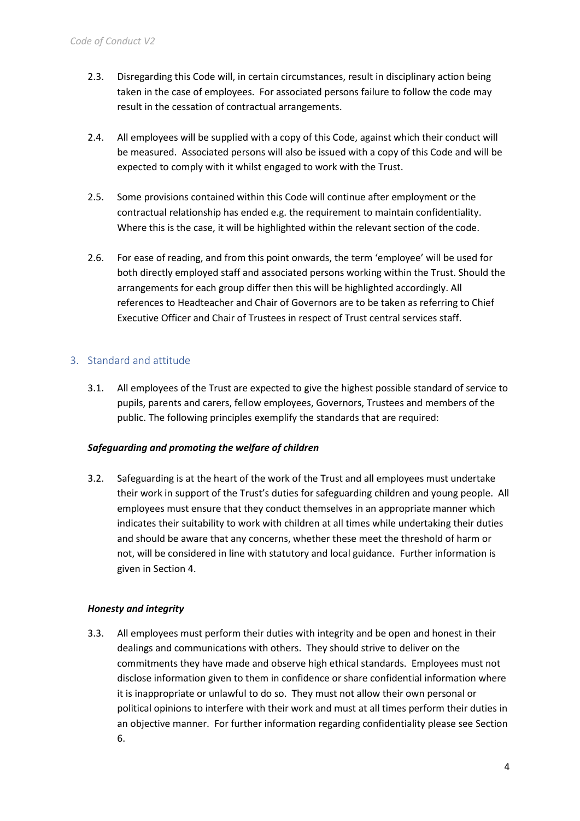- 2.3. Disregarding this Code will, in certain circumstances, result in disciplinary action being taken in the case of employees. For associated persons failure to follow the code may result in the cessation of contractual arrangements.
- 2.4. All employees will be supplied with a copy of this Code, against which their conduct will be measured. Associated persons will also be issued with a copy of this Code and will be expected to comply with it whilst engaged to work with the Trust.
- 2.5. Some provisions contained within this Code will continue after employment or the contractual relationship has ended e.g. the requirement to maintain confidentiality. Where this is the case, it will be highlighted within the relevant section of the code.
- 2.6. For ease of reading, and from this point onwards, the term 'employee' will be used for both directly employed staff and associated persons working within the Trust. Should the arrangements for each group differ then this will be highlighted accordingly. All references to Headteacher and Chair of Governors are to be taken as referring to Chief Executive Officer and Chair of Trustees in respect of Trust central services staff.

# <span id="page-3-0"></span>3. Standard and attitude

3.1. All employees of the Trust are expected to give the highest possible standard of service to pupils, parents and carers, fellow employees, Governors, Trustees and members of the public. The following principles exemplify the standards that are required:

#### *Safeguarding and promoting the welfare of children*

3.2. Safeguarding is at the heart of the work of the Trust and all employees must undertake their work in support of the Trust's duties for safeguarding children and young people. All employees must ensure that they conduct themselves in an appropriate manner which indicates their suitability to work with children at all times while undertaking their duties and should be aware that any concerns, whether these meet the threshold of harm or not, will be considered in line with statutory and local guidance. Further information is given in Section 4.

#### *Honesty and integrity*

3.3. All employees must perform their duties with integrity and be open and honest in their dealings and communications with others. They should strive to deliver on the commitments they have made and observe high ethical standards. Employees must not disclose information given to them in confidence or share confidential information where it is inappropriate or unlawful to do so. They must not allow their own personal or political opinions to interfere with their work and must at all times perform their duties in an objective manner. For further information regarding confidentiality please see Section 6.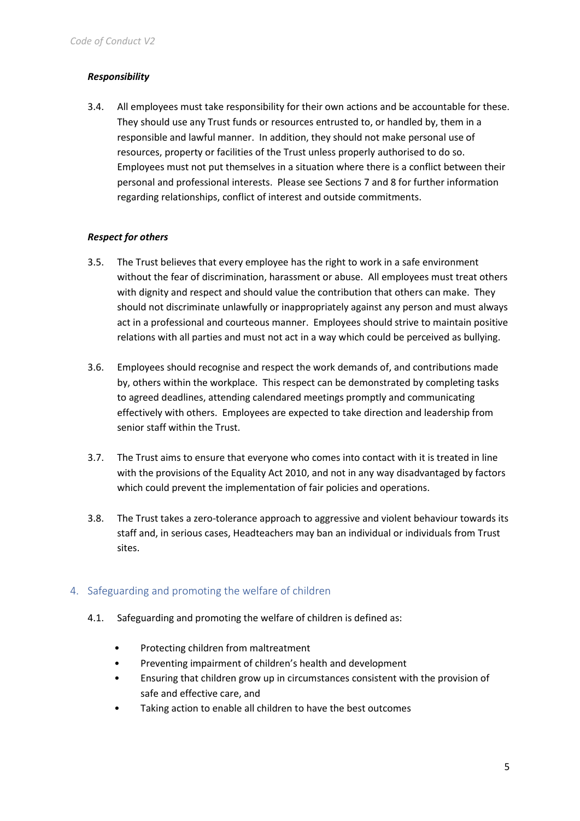#### *Responsibility*

3.4. All employees must take responsibility for their own actions and be accountable for these. They should use any Trust funds or resources entrusted to, or handled by, them in a responsible and lawful manner. In addition, they should not make personal use of resources, property or facilities of the Trust unless properly authorised to do so. Employees must not put themselves in a situation where there is a conflict between their personal and professional interests. Please see Sections 7 and 8 for further information regarding relationships, conflict of interest and outside commitments.

#### *Respect for others*

- 3.5. The Trust believes that every employee has the right to work in a safe environment without the fear of discrimination, harassment or abuse. All employees must treat others with dignity and respect and should value the contribution that others can make. They should not discriminate unlawfully or inappropriately against any person and must always act in a professional and courteous manner. Employees should strive to maintain positive relations with all parties and must not act in a way which could be perceived as bullying.
- 3.6. Employees should recognise and respect the work demands of, and contributions made by, others within the workplace. This respect can be demonstrated by completing tasks to agreed deadlines, attending calendared meetings promptly and communicating effectively with others. Employees are expected to take direction and leadership from senior staff within the Trust.
- 3.7. The Trust aims to ensure that everyone who comes into contact with it is treated in line with the provisions of the Equality Act 2010, and not in any way disadvantaged by factors which could prevent the implementation of fair policies and operations.
- 3.8. The Trust takes a zero-tolerance approach to aggressive and violent behaviour towards its staff and, in serious cases, Headteachers may ban an individual or individuals from Trust sites.

#### <span id="page-4-0"></span>4. Safeguarding and promoting the welfare of children

- 4.1. Safeguarding and promoting the welfare of children is defined as:
	- Protecting children from maltreatment
	- Preventing impairment of children's health and development
	- Ensuring that children grow up in circumstances consistent with the provision of safe and effective care, and
	- Taking action to enable all children to have the best outcomes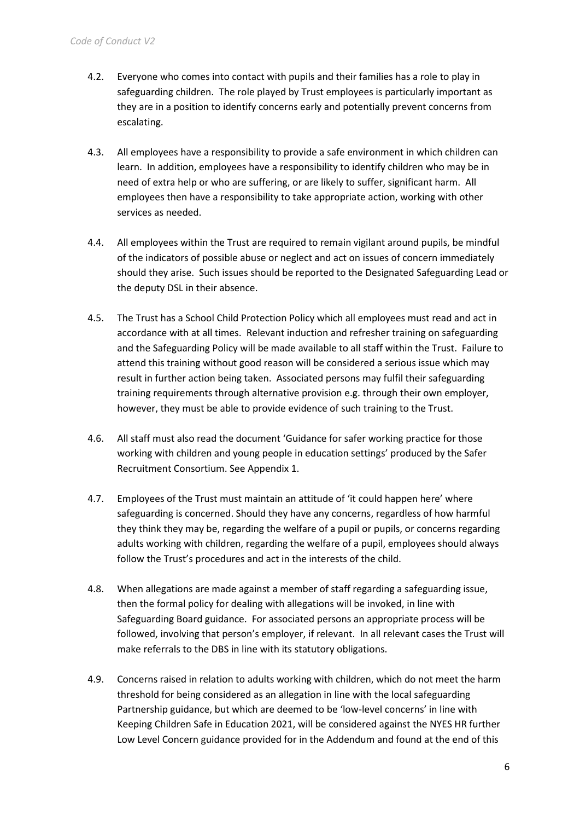- 4.2. Everyone who comes into contact with pupils and their families has a role to play in safeguarding children. The role played by Trust employees is particularly important as they are in a position to identify concerns early and potentially prevent concerns from escalating.
- 4.3. All employees have a responsibility to provide a safe environment in which children can learn. In addition, employees have a responsibility to identify children who may be in need of extra help or who are suffering, or are likely to suffer, significant harm. All employees then have a responsibility to take appropriate action, working with other services as needed.
- 4.4. All employees within the Trust are required to remain vigilant around pupils, be mindful of the indicators of possible abuse or neglect and act on issues of concern immediately should they arise. Such issues should be reported to the Designated Safeguarding Lead or the deputy DSL in their absence.
- 4.5. The Trust has a School Child Protection Policy which all employees must read and act in accordance with at all times. Relevant induction and refresher training on safeguarding and the Safeguarding Policy will be made available to all staff within the Trust. Failure to attend this training without good reason will be considered a serious issue which may result in further action being taken. Associated persons may fulfil their safeguarding training requirements through alternative provision e.g. through their own employer, however, they must be able to provide evidence of such training to the Trust.
- 4.6. All staff must also read the document 'Guidance for safer working practice for those working with children and young people in education settings' produced by the Safer Recruitment Consortium. See Appendix 1.
- 4.7. Employees of the Trust must maintain an attitude of 'it could happen here' where safeguarding is concerned. Should they have any concerns, regardless of how harmful they think they may be, regarding the welfare of a pupil or pupils, or concerns regarding adults working with children, regarding the welfare of a pupil, employees should always follow the Trust's procedures and act in the interests of the child.
- 4.8. When allegations are made against a member of staff regarding a safeguarding issue, then the formal policy for dealing with allegations will be invoked, in line with Safeguarding Board guidance. For associated persons an appropriate process will be followed, involving that person's employer, if relevant. In all relevant cases the Trust will make referrals to the DBS in line with its statutory obligations.
- 4.9. Concerns raised in relation to adults working with children, which do not meet the harm threshold for being considered as an allegation in line with the local safeguarding Partnership guidance, but which are deemed to be 'low-level concerns' in line with Keeping Children Safe in Education 2021, will be considered against the NYES HR further Low Level Concern guidance provided for in the Addendum and found at the end of this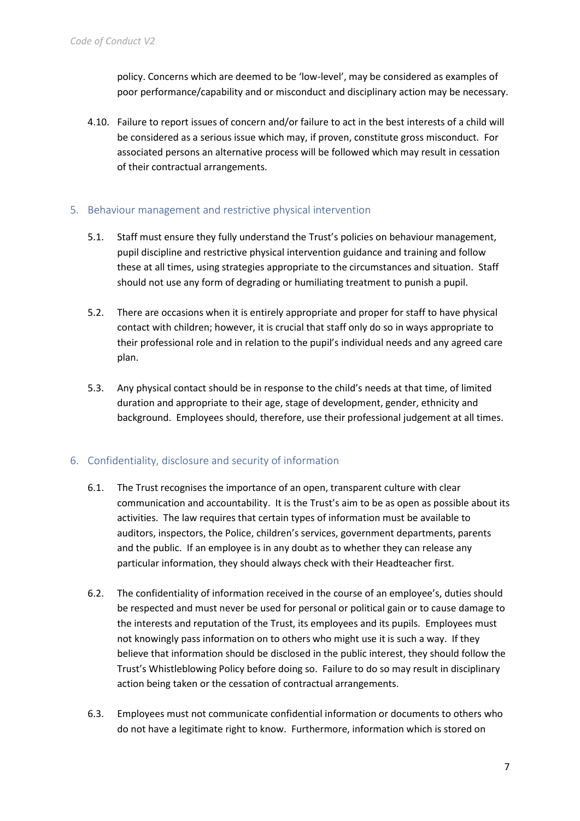policy. Concerns which are deemed to be 'low-level', may be considered as examples of poor performance/capability and or misconduct and disciplinary action may be necessary.

4.10. Failure to report issues of concern and/or failure to act in the best interests of a child will be considered as a serious issue which may, if proven, constitute gross misconduct. For associated persons an alternative process will be followed which may result in cessation of their contractual arrangements.

#### <span id="page-6-0"></span>5. Behaviour management and restrictive physical intervention

- 5.1. Staff must ensure they fully understand the Trust's policies on behaviour management, pupil discipline and restrictive physical intervention guidance and training and follow these at all times, using strategies appropriate to the circumstances and situation. Staff should not use any form of degrading or humiliating treatment to punish a pupil.
- 5.2. There are occasions when it is entirely appropriate and proper for staff to have physical contact with children; however, it is crucial that staff only do so in ways appropriate to their professional role and in relation to the pupil's individual needs and any agreed care plan.
- 5.3. Any physical contact should be in response to the child's needs at that time, of limited duration and appropriate to their age, stage of development, gender, ethnicity and background. Employees should, therefore, use their professional judgement at all times.

#### <span id="page-6-1"></span>6. Confidentiality, disclosure and security of information

- 6.1. The Trust recognises the importance of an open, transparent culture with clear communication and accountability. It is the Trust's aim to be as open as possible about its activities. The law requires that certain types of information must be available to auditors, inspectors, the Police, children's services, government departments, parents and the public. If an employee is in any doubt as to whether they can release any particular information, they should always check with their Headteacher first.
- 6.2. The confidentiality of information received in the course of an employee's, duties should be respected and must never be used for personal or political gain or to cause damage to the interests and reputation of the Trust, its employees and its pupils. Employees must not knowingly pass information on to others who might use it is such a way. If they believe that information should be disclosed in the public interest, they should follow the Trust's Whistleblowing Policy before doing so. Failure to do so may result in disciplinary action being taken or the cessation of contractual arrangements.
- 6.3. Employees must not communicate confidential information or documents to others who do not have a legitimate right to know. Furthermore, information which is stored on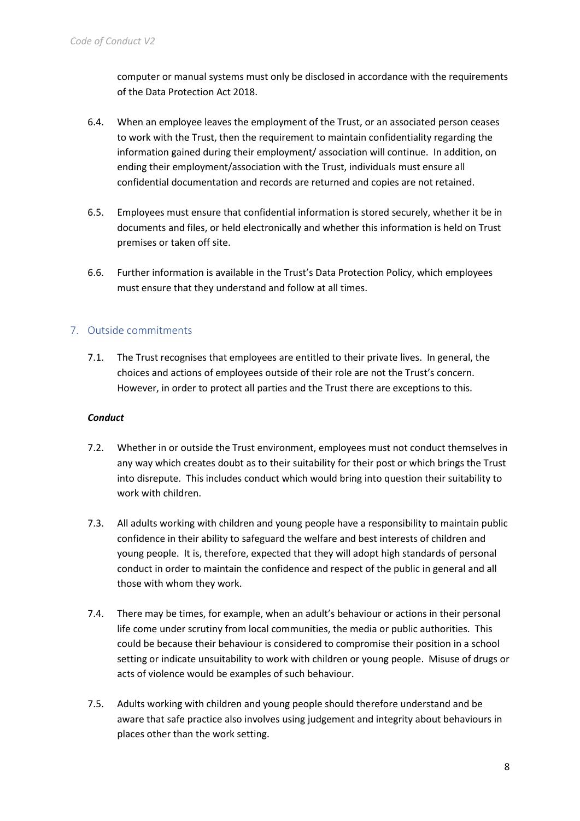computer or manual systems must only be disclosed in accordance with the requirements of the Data Protection Act 2018.

- 6.4. When an employee leaves the employment of the Trust, or an associated person ceases to work with the Trust, then the requirement to maintain confidentiality regarding the information gained during their employment/ association will continue. In addition, on ending their employment/association with the Trust, individuals must ensure all confidential documentation and records are returned and copies are not retained.
- 6.5. Employees must ensure that confidential information is stored securely, whether it be in documents and files, or held electronically and whether this information is held on Trust premises or taken off site.
- 6.6. Further information is available in the Trust's Data Protection Policy, which employees must ensure that they understand and follow at all times.

## <span id="page-7-0"></span>7. Outside commitments

7.1. The Trust recognises that employees are entitled to their private lives. In general, the choices and actions of employees outside of their role are not the Trust's concern. However, in order to protect all parties and the Trust there are exceptions to this.

#### *Conduct*

- 7.2. Whether in or outside the Trust environment, employees must not conduct themselves in any way which creates doubt as to their suitability for their post or which brings the Trust into disrepute. This includes conduct which would bring into question their suitability to work with children.
- 7.3. All adults working with children and young people have a responsibility to maintain public confidence in their ability to safeguard the welfare and best interests of children and young people. It is, therefore, expected that they will adopt high standards of personal conduct in order to maintain the confidence and respect of the public in general and all those with whom they work.
- 7.4. There may be times, for example, when an adult's behaviour or actions in their personal life come under scrutiny from local communities, the media or public authorities. This could be because their behaviour is considered to compromise their position in a school setting or indicate unsuitability to work with children or young people. Misuse of drugs or acts of violence would be examples of such behaviour.
- 7.5. Adults working with children and young people should therefore understand and be aware that safe practice also involves using judgement and integrity about behaviours in places other than the work setting.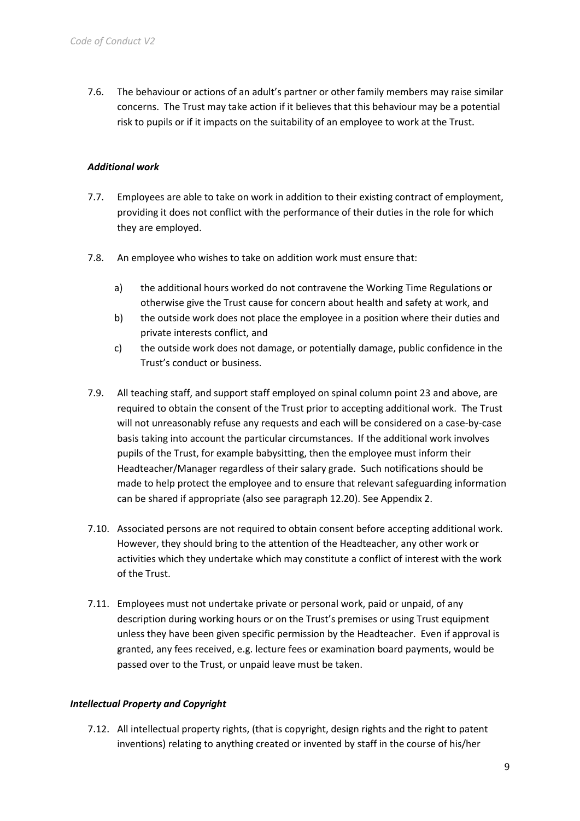7.6. The behaviour or actions of an adult's partner or other family members may raise similar concerns. The Trust may take action if it believes that this behaviour may be a potential risk to pupils or if it impacts on the suitability of an employee to work at the Trust.

#### *Additional work*

- 7.7. Employees are able to take on work in addition to their existing contract of employment, providing it does not conflict with the performance of their duties in the role for which they are employed.
- 7.8. An employee who wishes to take on addition work must ensure that:
	- a) the additional hours worked do not contravene the Working Time Regulations or otherwise give the Trust cause for concern about health and safety at work, and
	- b) the outside work does not place the employee in a position where their duties and private interests conflict, and
	- c) the outside work does not damage, or potentially damage, public confidence in the Trust's conduct or business.
- 7.9. All teaching staff, and support staff employed on spinal column point 23 and above, are required to obtain the consent of the Trust prior to accepting additional work. The Trust will not unreasonably refuse any requests and each will be considered on a case-by-case basis taking into account the particular circumstances. If the additional work involves pupils of the Trust, for example babysitting, then the employee must inform their Headteacher/Manager regardless of their salary grade. Such notifications should be made to help protect the employee and to ensure that relevant safeguarding information can be shared if appropriate (also see paragraph 12.20). See Appendix 2.
- 7.10. Associated persons are not required to obtain consent before accepting additional work. However, they should bring to the attention of the Headteacher, any other work or activities which they undertake which may constitute a conflict of interest with the work of the Trust.
- 7.11. Employees must not undertake private or personal work, paid or unpaid, of any description during working hours or on the Trust's premises or using Trust equipment unless they have been given specific permission by the Headteacher. Even if approval is granted, any fees received, e.g. lecture fees or examination board payments, would be passed over to the Trust, or unpaid leave must be taken.

#### *Intellectual Property and Copyright*

7.12. All intellectual property rights, (that is copyright, design rights and the right to patent inventions) relating to anything created or invented by staff in the course of his/her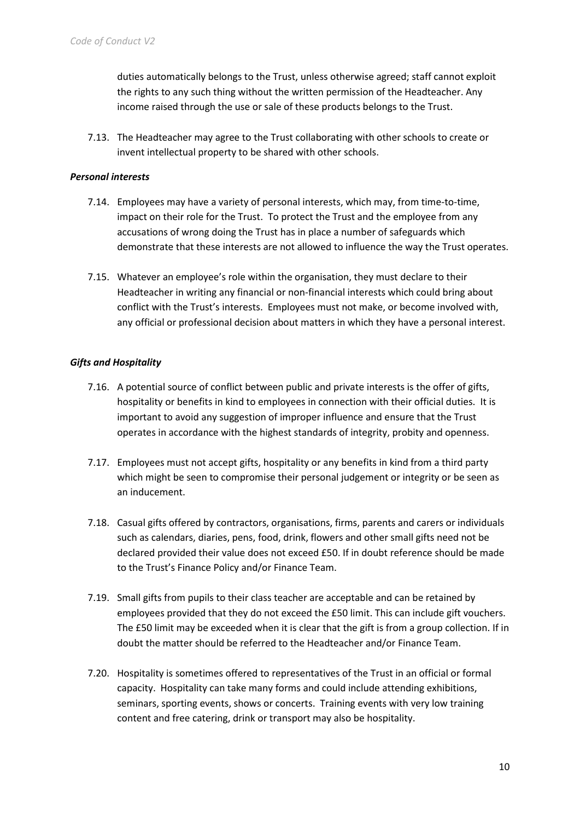duties automatically belongs to the Trust, unless otherwise agreed; staff cannot exploit the rights to any such thing without the written permission of the Headteacher. Any income raised through the use or sale of these products belongs to the Trust.

7.13. The Headteacher may agree to the Trust collaborating with other schools to create or invent intellectual property to be shared with other schools.

#### *Personal interests*

- 7.14. Employees may have a variety of personal interests, which may, from time-to-time, impact on their role for the Trust. To protect the Trust and the employee from any accusations of wrong doing the Trust has in place a number of safeguards which demonstrate that these interests are not allowed to influence the way the Trust operates.
- 7.15. Whatever an employee's role within the organisation, they must declare to their Headteacher in writing any financial or non-financial interests which could bring about conflict with the Trust's interests. Employees must not make, or become involved with, any official or professional decision about matters in which they have a personal interest.

#### *Gifts and Hospitality*

- 7.16. A potential source of conflict between public and private interests is the offer of gifts, hospitality or benefits in kind to employees in connection with their official duties. It is important to avoid any suggestion of improper influence and ensure that the Trust operates in accordance with the highest standards of integrity, probity and openness.
- 7.17. Employees must not accept gifts, hospitality or any benefits in kind from a third party which might be seen to compromise their personal judgement or integrity or be seen as an inducement.
- 7.18. Casual gifts offered by contractors, organisations, firms, parents and carers or individuals such as calendars, diaries, pens, food, drink, flowers and other small gifts need not be declared provided their value does not exceed £50. If in doubt reference should be made to the Trust's Finance Policy and/or Finance Team.
- 7.19. Small gifts from pupils to their class teacher are acceptable and can be retained by employees provided that they do not exceed the £50 limit. This can include gift vouchers. The £50 limit may be exceeded when it is clear that the gift is from a group collection. If in doubt the matter should be referred to the Headteacher and/or Finance Team.
- 7.20. Hospitality is sometimes offered to representatives of the Trust in an official or formal capacity. Hospitality can take many forms and could include attending exhibitions, seminars, sporting events, shows or concerts. Training events with very low training content and free catering, drink or transport may also be hospitality.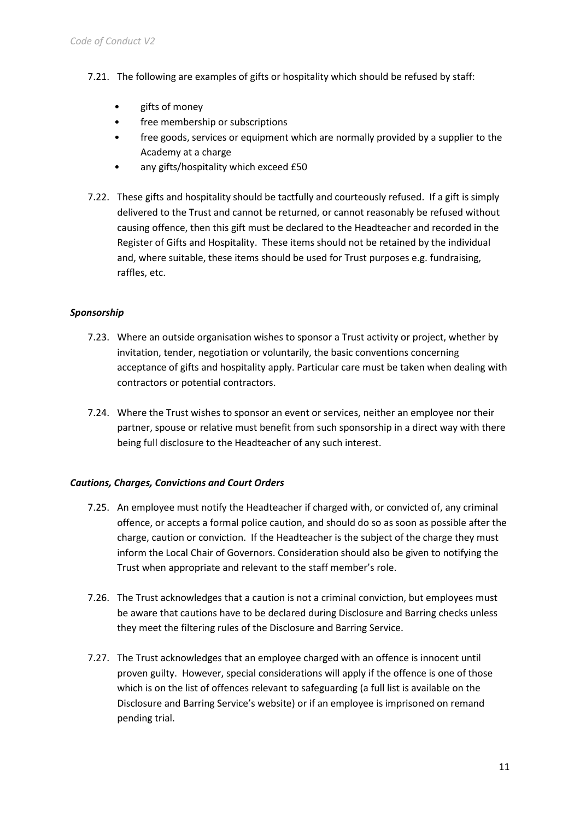- 7.21. The following are examples of gifts or hospitality which should be refused by staff:
	- gifts of money
	- free membership or subscriptions
	- free goods, services or equipment which are normally provided by a supplier to the Academy at a charge
	- any gifts/hospitality which exceed £50
- 7.22. These gifts and hospitality should be tactfully and courteously refused. If a gift is simply delivered to the Trust and cannot be returned, or cannot reasonably be refused without causing offence, then this gift must be declared to the Headteacher and recorded in the Register of Gifts and Hospitality. These items should not be retained by the individual and, where suitable, these items should be used for Trust purposes e.g. fundraising, raffles, etc.

#### *Sponsorship*

- 7.23. Where an outside organisation wishes to sponsor a Trust activity or project, whether by invitation, tender, negotiation or voluntarily, the basic conventions concerning acceptance of gifts and hospitality apply. Particular care must be taken when dealing with contractors or potential contractors.
- 7.24. Where the Trust wishes to sponsor an event or services, neither an employee nor their partner, spouse or relative must benefit from such sponsorship in a direct way with there being full disclosure to the Headteacher of any such interest.

#### *Cautions, Charges, Convictions and Court Orders*

- 7.25. An employee must notify the Headteacher if charged with, or convicted of, any criminal offence, or accepts a formal police caution, and should do so as soon as possible after the charge, caution or conviction. If the Headteacher is the subject of the charge they must inform the Local Chair of Governors. Consideration should also be given to notifying the Trust when appropriate and relevant to the staff member's role.
- 7.26. The Trust acknowledges that a caution is not a criminal conviction, but employees must be aware that cautions have to be declared during Disclosure and Barring checks unless they meet the filtering rules of the Disclosure and Barring Service.
- 7.27. The Trust acknowledges that an employee charged with an offence is innocent until proven guilty. However, special considerations will apply if the offence is one of those which is on the list of offences relevant to safeguarding (a full list is available on the Disclosure and Barring Service's website) or if an employee is imprisoned on remand pending trial.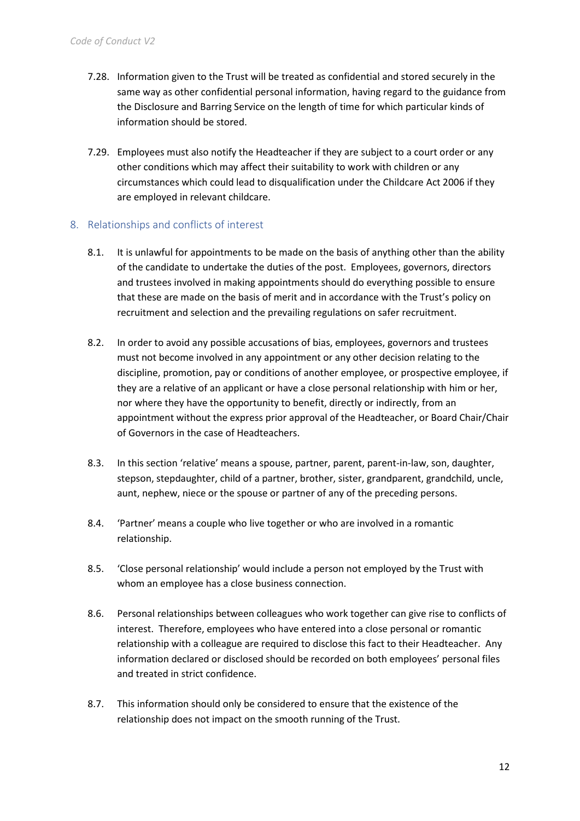- 7.28. Information given to the Trust will be treated as confidential and stored securely in the same way as other confidential personal information, having regard to the guidance from the Disclosure and Barring Service on the length of time for which particular kinds of information should be stored.
- 7.29. Employees must also notify the Headteacher if they are subject to a court order or any other conditions which may affect their suitability to work with children or any circumstances which could lead to disqualification under the Childcare Act 2006 if they are employed in relevant childcare.

#### <span id="page-11-0"></span>8. Relationships and conflicts of interest

- 8.1. It is unlawful for appointments to be made on the basis of anything other than the ability of the candidate to undertake the duties of the post. Employees, governors, directors and trustees involved in making appointments should do everything possible to ensure that these are made on the basis of merit and in accordance with the Trust's policy on recruitment and selection and the prevailing regulations on safer recruitment.
- 8.2. In order to avoid any possible accusations of bias, employees, governors and trustees must not become involved in any appointment or any other decision relating to the discipline, promotion, pay or conditions of another employee, or prospective employee, if they are a relative of an applicant or have a close personal relationship with him or her, nor where they have the opportunity to benefit, directly or indirectly, from an appointment without the express prior approval of the Headteacher, or Board Chair/Chair of Governors in the case of Headteachers.
- 8.3. In this section 'relative' means a spouse, partner, parent, parent-in-law, son, daughter, stepson, stepdaughter, child of a partner, brother, sister, grandparent, grandchild, uncle, aunt, nephew, niece or the spouse or partner of any of the preceding persons.
- 8.4. 'Partner' means a couple who live together or who are involved in a romantic relationship.
- 8.5. 'Close personal relationship' would include a person not employed by the Trust with whom an employee has a close business connection.
- 8.6. Personal relationships between colleagues who work together can give rise to conflicts of interest. Therefore, employees who have entered into a close personal or romantic relationship with a colleague are required to disclose this fact to their Headteacher. Any information declared or disclosed should be recorded on both employees' personal files and treated in strict confidence.
- 8.7. This information should only be considered to ensure that the existence of the relationship does not impact on the smooth running of the Trust.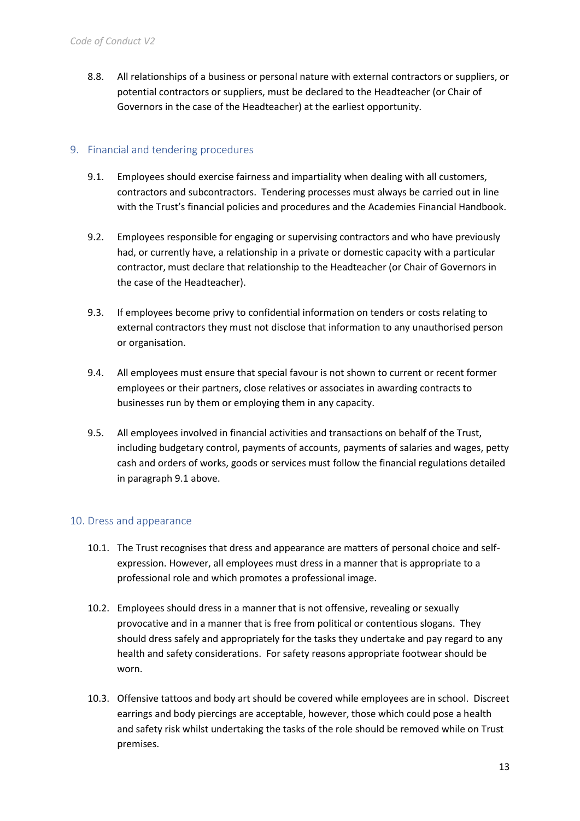8.8. All relationships of a business or personal nature with external contractors or suppliers, or potential contractors or suppliers, must be declared to the Headteacher (or Chair of Governors in the case of the Headteacher) at the earliest opportunity.

#### <span id="page-12-0"></span>9. Financial and tendering procedures

- 9.1. Employees should exercise fairness and impartiality when dealing with all customers, contractors and subcontractors. Tendering processes must always be carried out in line with the Trust's financial policies and procedures and the Academies Financial Handbook.
- 9.2. Employees responsible for engaging or supervising contractors and who have previously had, or currently have, a relationship in a private or domestic capacity with a particular contractor, must declare that relationship to the Headteacher (or Chair of Governors in the case of the Headteacher).
- 9.3. If employees become privy to confidential information on tenders or costs relating to external contractors they must not disclose that information to any unauthorised person or organisation.
- 9.4. All employees must ensure that special favour is not shown to current or recent former employees or their partners, close relatives or associates in awarding contracts to businesses run by them or employing them in any capacity.
- 9.5. All employees involved in financial activities and transactions on behalf of the Trust, including budgetary control, payments of accounts, payments of salaries and wages, petty cash and orders of works, goods or services must follow the financial regulations detailed in paragraph 9.1 above.

#### <span id="page-12-1"></span>10. Dress and appearance

- 10.1. The Trust recognises that dress and appearance are matters of personal choice and selfexpression. However, all employees must dress in a manner that is appropriate to a professional role and which promotes a professional image.
- 10.2. Employees should dress in a manner that is not offensive, revealing or sexually provocative and in a manner that is free from political or contentious slogans. They should dress safely and appropriately for the tasks they undertake and pay regard to any health and safety considerations. For safety reasons appropriate footwear should be worn.
- 10.3. Offensive tattoos and body art should be covered while employees are in school. Discreet earrings and body piercings are acceptable, however, those which could pose a health and safety risk whilst undertaking the tasks of the role should be removed while on Trust premises.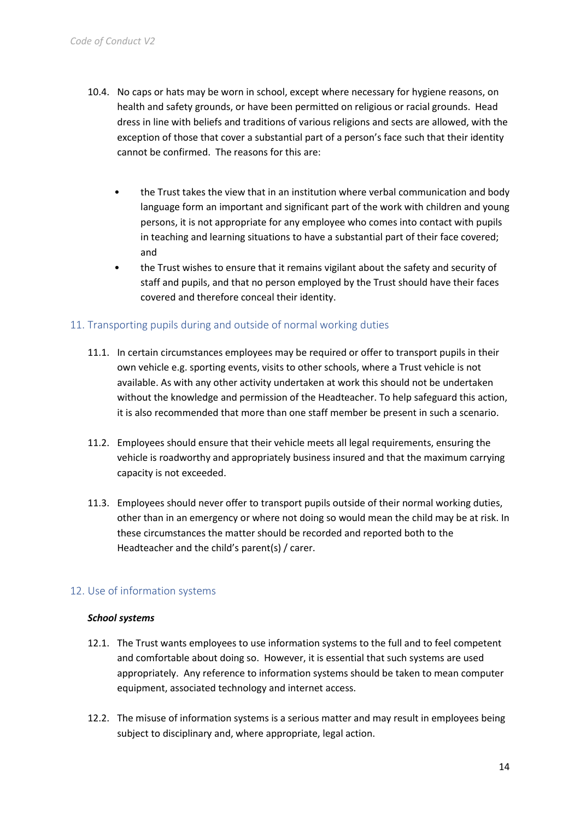- 10.4. No caps or hats may be worn in school, except where necessary for hygiene reasons, on health and safety grounds, or have been permitted on religious or racial grounds. Head dress in line with beliefs and traditions of various religions and sects are allowed, with the exception of those that cover a substantial part of a person's face such that their identity cannot be confirmed. The reasons for this are:
	- the Trust takes the view that in an institution where verbal communication and body language form an important and significant part of the work with children and young persons, it is not appropriate for any employee who comes into contact with pupils in teaching and learning situations to have a substantial part of their face covered; and
	- the Trust wishes to ensure that it remains vigilant about the safety and security of staff and pupils, and that no person employed by the Trust should have their faces covered and therefore conceal their identity.

#### <span id="page-13-0"></span>11. Transporting pupils during and outside of normal working duties

- 11.1. In certain circumstances employees may be required or offer to transport pupils in their own vehicle e.g. sporting events, visits to other schools, where a Trust vehicle is not available. As with any other activity undertaken at work this should not be undertaken without the knowledge and permission of the Headteacher. To help safeguard this action, it is also recommended that more than one staff member be present in such a scenario.
- 11.2. Employees should ensure that their vehicle meets all legal requirements, ensuring the vehicle is roadworthy and appropriately business insured and that the maximum carrying capacity is not exceeded.
- 11.3. Employees should never offer to transport pupils outside of their normal working duties, other than in an emergency or where not doing so would mean the child may be at risk. In these circumstances the matter should be recorded and reported both to the Headteacher and the child's parent(s) / carer.

#### <span id="page-13-1"></span>12. Use of information systems

#### *School systems*

- 12.1. The Trust wants employees to use information systems to the full and to feel competent and comfortable about doing so. However, it is essential that such systems are used appropriately. Any reference to information systems should be taken to mean computer equipment, associated technology and internet access.
- 12.2. The misuse of information systems is a serious matter and may result in employees being subject to disciplinary and, where appropriate, legal action.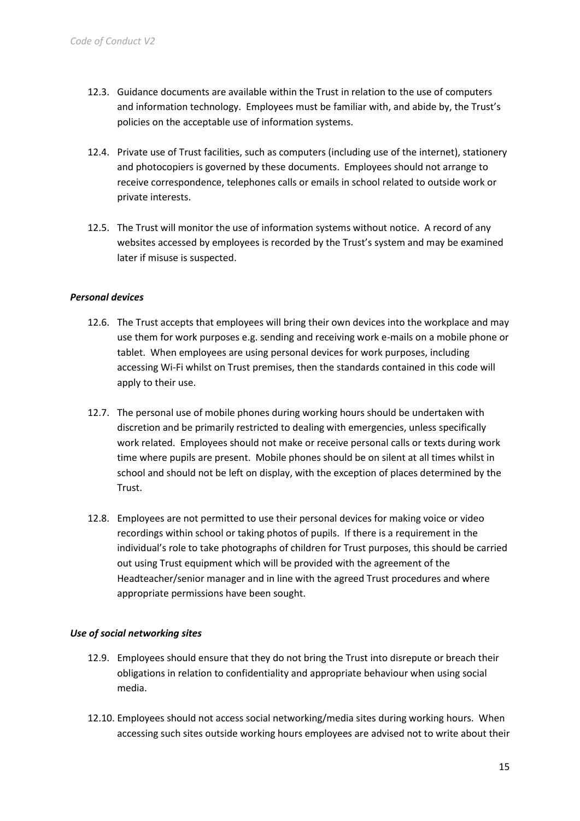- 12.3. Guidance documents are available within the Trust in relation to the use of computers and information technology. Employees must be familiar with, and abide by, the Trust's policies on the acceptable use of information systems.
- 12.4. Private use of Trust facilities, such as computers (including use of the internet), stationery and photocopiers is governed by these documents. Employees should not arrange to receive correspondence, telephones calls or emails in school related to outside work or private interests.
- 12.5. The Trust will monitor the use of information systems without notice. A record of any websites accessed by employees is recorded by the Trust's system and may be examined later if misuse is suspected.

#### *Personal devices*

- 12.6. The Trust accepts that employees will bring their own devices into the workplace and may use them for work purposes e.g. sending and receiving work e-mails on a mobile phone or tablet. When employees are using personal devices for work purposes, including accessing Wi-Fi whilst on Trust premises, then the standards contained in this code will apply to their use.
- 12.7. The personal use of mobile phones during working hours should be undertaken with discretion and be primarily restricted to dealing with emergencies, unless specifically work related. Employees should not make or receive personal calls or texts during work time where pupils are present. Mobile phones should be on silent at all times whilst in school and should not be left on display, with the exception of places determined by the Trust.
- 12.8. Employees are not permitted to use their personal devices for making voice or video recordings within school or taking photos of pupils. If there is a requirement in the individual's role to take photographs of children for Trust purposes, this should be carried out using Trust equipment which will be provided with the agreement of the Headteacher/senior manager and in line with the agreed Trust procedures and where appropriate permissions have been sought.

#### *Use of social networking sites*

- 12.9. Employees should ensure that they do not bring the Trust into disrepute or breach their obligations in relation to confidentiality and appropriate behaviour when using social media.
- 12.10. Employees should not access social networking/media sites during working hours. When accessing such sites outside working hours employees are advised not to write about their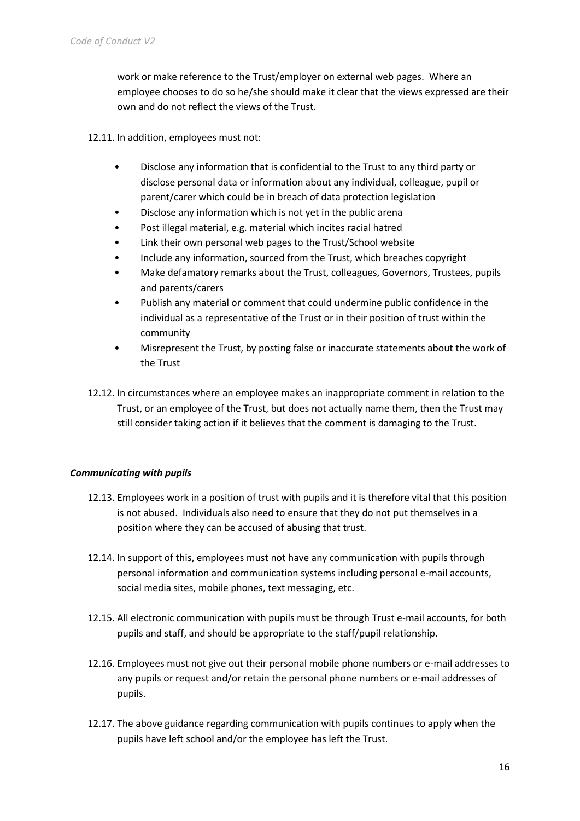work or make reference to the Trust/employer on external web pages. Where an employee chooses to do so he/she should make it clear that the views expressed are their own and do not reflect the views of the Trust.

12.11. In addition, employees must not:

- Disclose any information that is confidential to the Trust to any third party or disclose personal data or information about any individual, colleague, pupil or parent/carer which could be in breach of data protection legislation
- Disclose any information which is not yet in the public arena
- Post illegal material, e.g. material which incites racial hatred
- Link their own personal web pages to the Trust/School website
- Include any information, sourced from the Trust, which breaches copyright
- Make defamatory remarks about the Trust, colleagues, Governors, Trustees, pupils and parents/carers
- Publish any material or comment that could undermine public confidence in the individual as a representative of the Trust or in their position of trust within the community
- Misrepresent the Trust, by posting false or inaccurate statements about the work of the Trust
- 12.12. In circumstances where an employee makes an inappropriate comment in relation to the Trust, or an employee of the Trust, but does not actually name them, then the Trust may still consider taking action if it believes that the comment is damaging to the Trust.

#### *Communicating with pupils*

- 12.13. Employees work in a position of trust with pupils and it is therefore vital that this position is not abused. Individuals also need to ensure that they do not put themselves in a position where they can be accused of abusing that trust.
- 12.14. In support of this, employees must not have any communication with pupils through personal information and communication systems including personal e-mail accounts, social media sites, mobile phones, text messaging, etc.
- 12.15. All electronic communication with pupils must be through Trust e-mail accounts, for both pupils and staff, and should be appropriate to the staff/pupil relationship.
- 12.16. Employees must not give out their personal mobile phone numbers or e-mail addresses to any pupils or request and/or retain the personal phone numbers or e-mail addresses of pupils.
- 12.17. The above guidance regarding communication with pupils continues to apply when the pupils have left school and/or the employee has left the Trust.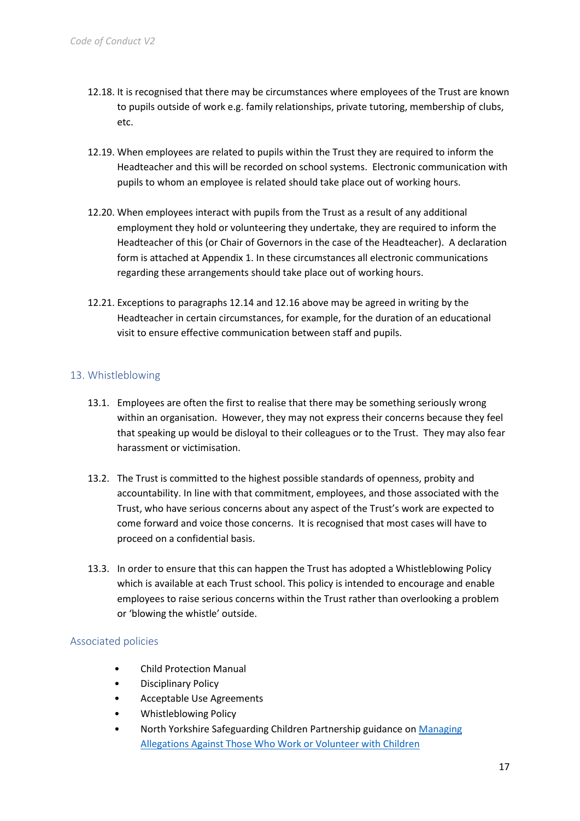- 12.18. It is recognised that there may be circumstances where employees of the Trust are known to pupils outside of work e.g. family relationships, private tutoring, membership of clubs, etc.
- 12.19. When employees are related to pupils within the Trust they are required to inform the Headteacher and this will be recorded on school systems. Electronic communication with pupils to whom an employee is related should take place out of working hours.
- 12.20. When employees interact with pupils from the Trust as a result of any additional employment they hold or volunteering they undertake, they are required to inform the Headteacher of this (or Chair of Governors in the case of the Headteacher). A declaration form is attached at Appendix 1. In these circumstances all electronic communications regarding these arrangements should take place out of working hours.
- 12.21. Exceptions to paragraphs 12.14 and 12.16 above may be agreed in writing by the Headteacher in certain circumstances, for example, for the duration of an educational visit to ensure effective communication between staff and pupils.

# <span id="page-16-0"></span>13. Whistleblowing

- 13.1. Employees are often the first to realise that there may be something seriously wrong within an organisation. However, they may not express their concerns because they feel that speaking up would be disloyal to their colleagues or to the Trust. They may also fear harassment or victimisation.
- 13.2. The Trust is committed to the highest possible standards of openness, probity and accountability. In line with that commitment, employees, and those associated with the Trust, who have serious concerns about any aspect of the Trust's work are expected to come forward and voice those concerns. It is recognised that most cases will have to proceed on a confidential basis.
- 13.3. In order to ensure that this can happen the Trust has adopted a Whistleblowing Policy which is available at each Trust school. This policy is intended to encourage and enable employees to raise serious concerns within the Trust rather than overlooking a problem or 'blowing the whistle' outside.

#### <span id="page-16-1"></span>Associated policies

- Child Protection Manual
- Disciplinary Policy
- Acceptable Use Agreements
- Whistleblowing Policy
- North Yorkshire Safeguarding Children Partnership guidance on [Managing](https://www.safeguardingchildren.co.uk/wp-content/uploads/2020/09/Allegations-Procedures-2020-September-2020-Update.pdf)  [Allegations Against Those Who Work or Volunteer with Children](https://www.safeguardingchildren.co.uk/wp-content/uploads/2020/09/Allegations-Procedures-2020-September-2020-Update.pdf)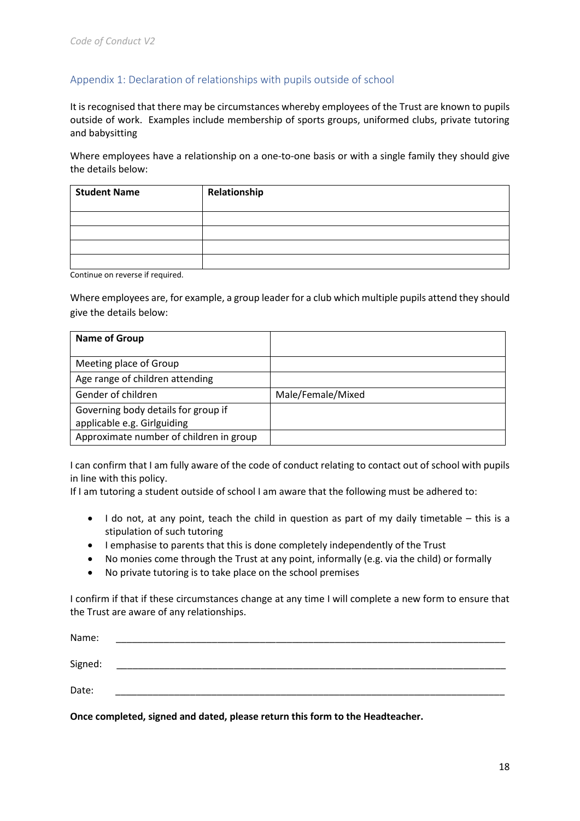# <span id="page-17-0"></span>Appendix 1: Declaration of relationships with pupils outside of school

It is recognised that there may be circumstances whereby employees of the Trust are known to pupils outside of work. Examples include membership of sports groups, uniformed clubs, private tutoring and babysitting

Where employees have a relationship on a one-to-one basis or with a single family they should give the details below:

| <b>Student Name</b> | Relationship |
|---------------------|--------------|
|                     |              |
|                     |              |
|                     |              |
|                     |              |

Continue on reverse if required.

Where employees are, for example, a group leader for a club which multiple pupils attend they should give the details below:

| <b>Name of Group</b>                    |                   |
|-----------------------------------------|-------------------|
|                                         |                   |
| Meeting place of Group                  |                   |
| Age range of children attending         |                   |
| Gender of children                      | Male/Female/Mixed |
| Governing body details for group if     |                   |
| applicable e.g. Girlguiding             |                   |
| Approximate number of children in group |                   |

I can confirm that I am fully aware of the code of conduct relating to contact out of school with pupils in line with this policy.

If I am tutoring a student outside of school I am aware that the following must be adhered to:

- I do not, at any point, teach the child in question as part of my daily timetable this is a stipulation of such tutoring
- I emphasise to parents that this is done completely independently of the Trust
- No monies come through the Trust at any point, informally (e.g. via the child) or formally
- No private tutoring is to take place on the school premises

I confirm if that if these circumstances change at any time I will complete a new form to ensure that the Trust are aware of any relationships.

| Name:   |  |
|---------|--|
| Signed: |  |
| Date:   |  |

**Once completed, signed and dated, please return this form to the Headteacher.**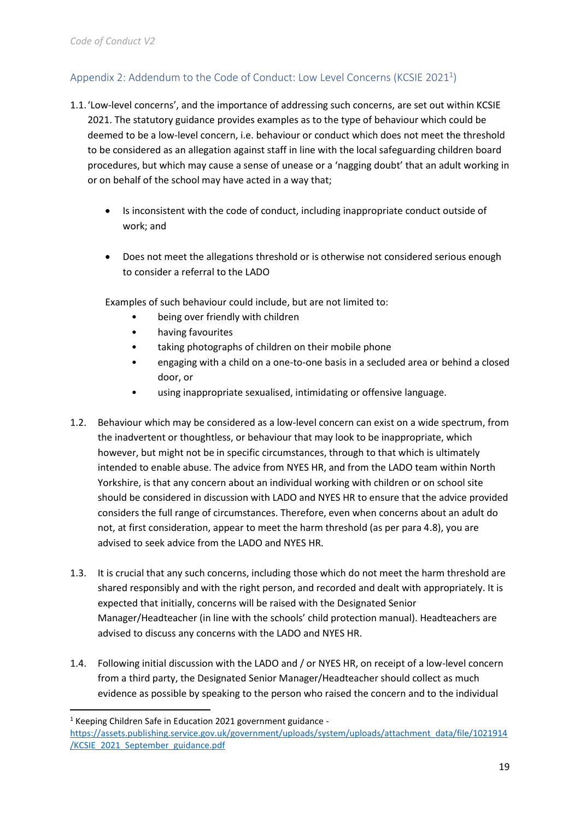# <span id="page-18-0"></span>Appendix 2: Addendum to the Code of Conduct: Low Level Concerns (KCSIE 2021<sup>1</sup>)

- 1.1.'Low-level concerns', and the importance of addressing such concerns, are set out within KCSIE 2021. The statutory guidance provides examples as to the type of behaviour which could be deemed to be a low-level concern, i.e. behaviour or conduct which does not meet the threshold to be considered as an allegation against staff in line with the local safeguarding children board procedures, but which may cause a sense of unease or a 'nagging doubt' that an adult working in or on behalf of the school may have acted in a way that;
	- Is inconsistent with the code of conduct, including inappropriate conduct outside of work; and
	- Does not meet the allegations threshold or is otherwise not considered serious enough to consider a referral to the LADO

Examples of such behaviour could include, but are not limited to:

- being over friendly with children
- having favourites
- taking photographs of children on their mobile phone
- engaging with a child on a one-to-one basis in a secluded area or behind a closed door, or
- using inappropriate sexualised, intimidating or offensive language.
- 1.2. Behaviour which may be considered as a low-level concern can exist on a wide spectrum, from the inadvertent or thoughtless, or behaviour that may look to be inappropriate, which however, but might not be in specific circumstances, through to that which is ultimately intended to enable abuse. The advice from NYES HR, and from the LADO team within North Yorkshire, is that any concern about an individual working with children or on school site should be considered in discussion with LADO and NYES HR to ensure that the advice provided considers the full range of circumstances. Therefore, even when concerns about an adult do not, at first consideration, appear to meet the harm threshold (as per para 4.8), you are advised to seek advice from the LADO and NYES HR.
- 1.3. It is crucial that any such concerns, including those which do not meet the harm threshold are shared responsibly and with the right person, and recorded and dealt with appropriately. It is expected that initially, concerns will be raised with the Designated Senior Manager/Headteacher (in line with the schools' child protection manual). Headteachers are advised to discuss any concerns with the LADO and NYES HR.
- 1.4. Following initial discussion with the LADO and / or NYES HR, on receipt of a low-level concern from a third party, the Designated Senior Manager/Headteacher should collect as much evidence as possible by speaking to the person who raised the concern and to the individual

<sup>1</sup> Keeping Children Safe in Education 2021 government guidance -

[https://assets.publishing.service.gov.uk/government/uploads/system/uploads/attachment\\_data/file/1021914](https://assets.publishing.service.gov.uk/government/uploads/system/uploads/attachment_data/file/1021914/KCSIE_2021_September_guidance.pdf) [/KCSIE\\_2021\\_September\\_guidance.pdf](https://assets.publishing.service.gov.uk/government/uploads/system/uploads/attachment_data/file/1021914/KCSIE_2021_September_guidance.pdf)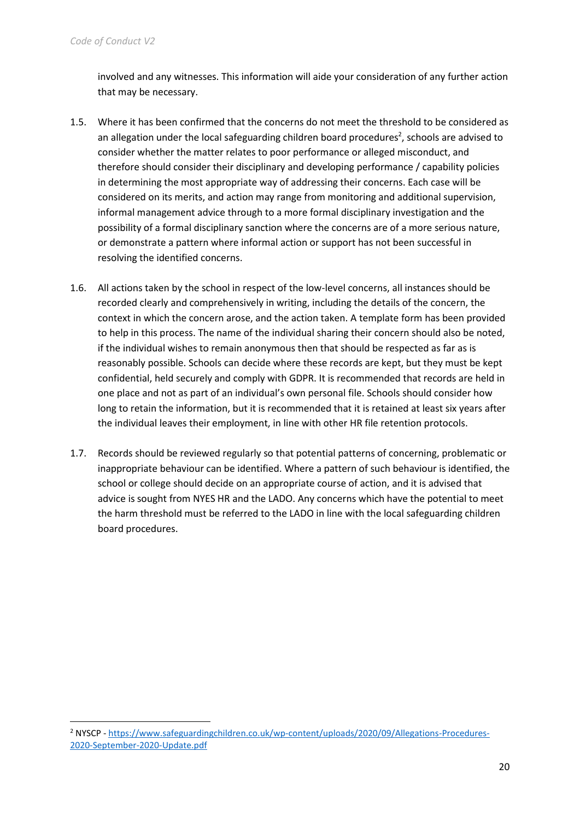involved and any witnesses. This information will aide your consideration of any further action that may be necessary.

- 1.5. Where it has been confirmed that the concerns do not meet the threshold to be considered as an allegation under the local safeguarding children board procedures<sup>2</sup>, schools are advised to consider whether the matter relates to poor performance or alleged misconduct, and therefore should consider their disciplinary and developing performance / capability policies in determining the most appropriate way of addressing their concerns. Each case will be considered on its merits, and action may range from monitoring and additional supervision, informal management advice through to a more formal disciplinary investigation and the possibility of a formal disciplinary sanction where the concerns are of a more serious nature, or demonstrate a pattern where informal action or support has not been successful in resolving the identified concerns.
- 1.6. All actions taken by the school in respect of the low-level concerns, all instances should be recorded clearly and comprehensively in writing, including the details of the concern, the context in which the concern arose, and the action taken. A template form has been provided to help in this process. The name of the individual sharing their concern should also be noted, if the individual wishes to remain anonymous then that should be respected as far as is reasonably possible. Schools can decide where these records are kept, but they must be kept confidential, held securely and comply with GDPR. It is recommended that records are held in one place and not as part of an individual's own personal file. Schools should consider how long to retain the information, but it is recommended that it is retained at least six years after the individual leaves their employment, in line with other HR file retention protocols.
- 1.7. Records should be reviewed regularly so that potential patterns of concerning, problematic or inappropriate behaviour can be identified. Where a pattern of such behaviour is identified, the school or college should decide on an appropriate course of action, and it is advised that advice is sought from NYES HR and the LADO. Any concerns which have the potential to meet the harm threshold must be referred to the LADO in line with the local safeguarding children board procedures.

<sup>2</sup> NYSCP - [https://www.safeguardingchildren.co.uk/wp-content/uploads/2020/09/Allegations-Procedures-](https://www.safeguardingchildren.co.uk/wp-content/uploads/2020/09/Allegations-Procedures-2020-September-2020-Update.pdf)[2020-September-2020-Update.pdf](https://www.safeguardingchildren.co.uk/wp-content/uploads/2020/09/Allegations-Procedures-2020-September-2020-Update.pdf)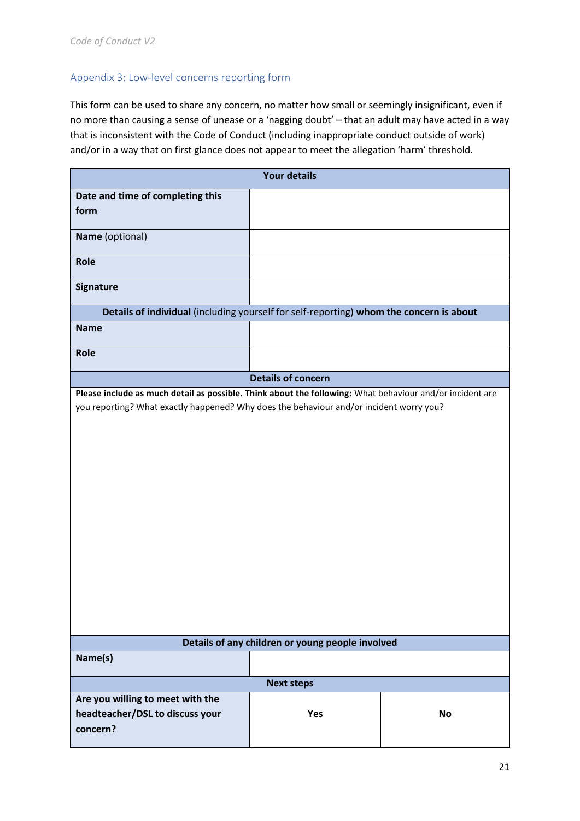# Appendix 3: Low-level concerns reporting form

This form can be used to share any concern, no matter how small or seemingly insignificant, even if no more than causing a sense of unease or a 'nagging doubt' – that an adult may have acted in a way that is inconsistent with the Code of Conduct (including inappropriate conduct outside of work) and/or in a way that on first glance does not appear to meet the allegation 'harm' threshold.

|                                                                                                                                                                                                     | <b>Your details</b>       |           |
|-----------------------------------------------------------------------------------------------------------------------------------------------------------------------------------------------------|---------------------------|-----------|
| Date and time of completing this<br>form                                                                                                                                                            |                           |           |
| Name (optional)                                                                                                                                                                                     |                           |           |
| Role                                                                                                                                                                                                |                           |           |
| <b>Signature</b>                                                                                                                                                                                    |                           |           |
| Details of individual (including yourself for self-reporting) whom the concern is about                                                                                                             |                           |           |
| <b>Name</b>                                                                                                                                                                                         |                           |           |
| <b>Role</b>                                                                                                                                                                                         |                           |           |
|                                                                                                                                                                                                     | <b>Details of concern</b> |           |
| Please include as much detail as possible. Think about the following: What behaviour and/or incident are<br>you reporting? What exactly happened? Why does the behaviour and/or incident worry you? |                           |           |
| Details of any children or young people involved                                                                                                                                                    |                           |           |
| Name(s)                                                                                                                                                                                             |                           |           |
|                                                                                                                                                                                                     | <b>Next steps</b>         |           |
| Are you willing to meet with the<br>headteacher/DSL to discuss your<br>concern?                                                                                                                     | Yes                       | <b>No</b> |